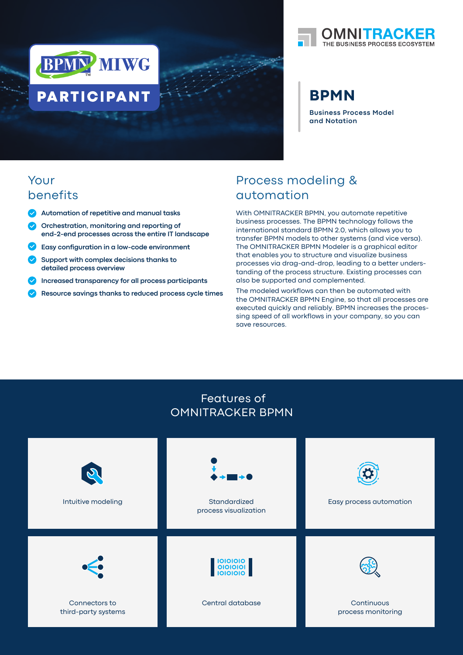



# **BPMN**

**Business Process Model and Notation**

# Your benefits

- **Automation of repetitive and manual tasks**
- **Orchestration, monitoring and reporting of end-2-end processes across the entire IT landscape**
- **Easy configuration in a low-code environment**
- **Support with complex decisions thanks to detailed process overview**
- **Increased transparency for all process participants**
- **Resource savings thanks to reduced process cycle times**

# Process modeling & automation

With OMNITRACKER BPMN, you automate repetitive business processes. The BPMN technology follows the international standard BPMN 2.0, which allows you to transfer BPMN models to other systems (and vice versa). The OMNITRACKER BPMN Modeler is a graphical editor that enables you to structure and visualize business processes via drag-and-drop, leading to a better understanding of the process structure. Existing processes can also be supported and complemented.

The modeled workflows can then be automated with the OMNITRACKER BPMN Engine, so that all processes are executed quickly and reliably. BPMN increases the processing speed of all workflows in your company, so you can save resources.

### Features of OMNITRACKER BPMN